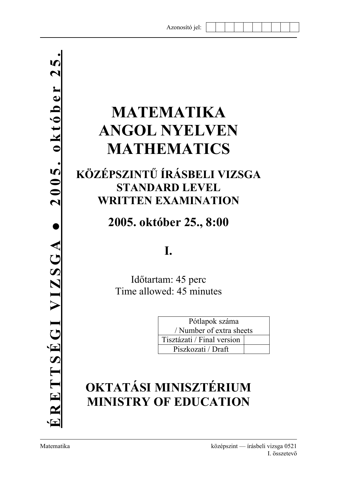| Azonosító jel: |  |  |  |  |  |
|----------------|--|--|--|--|--|
|                |  |  |  |  |  |

# **MATEMATIKA ANGOL NYELVEN MATHEMATICS**

## **KÖZÉPSZINTŰ ÍRÁSBELI VIZSGA STANDARD LEVEL WRITTEN EXAMINATION**

**2005. október 25., 8:00** 

### **I.**

Időtartam: 45 perc Time allowed: 45 minutes

| Pótlapok száma             |  |  |  |
|----------------------------|--|--|--|
| / Number of extra sheets   |  |  |  |
| Tisztázati / Final version |  |  |  |
| Piszkozati / Draft         |  |  |  |

## **OKTATÁSI MINISZTÉRIUM MINISTRY OF EDUCATION**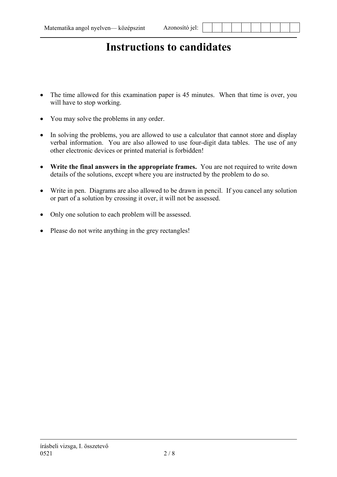#### **Instructions to candidates**

- The time allowed for this examination paper is 45 minutes. When that time is over, you will have to stop working.
- You may solve the problems in any order.
- In solving the problems, you are allowed to use a calculator that cannot store and display verbal information. You are also allowed to use four-digit data tables. The use of any other electronic devices or printed material is forbidden!
- **Write the final answers in the appropriate frames.** You are not required to write down details of the solutions, except where you are instructed by the problem to do so.
- Write in pen. Diagrams are also allowed to be drawn in pencil. If you cancel any solution or part of a solution by crossing it over, it will not be assessed.
- Only one solution to each problem will be assessed.
- Please do not write anything in the grey rectangles!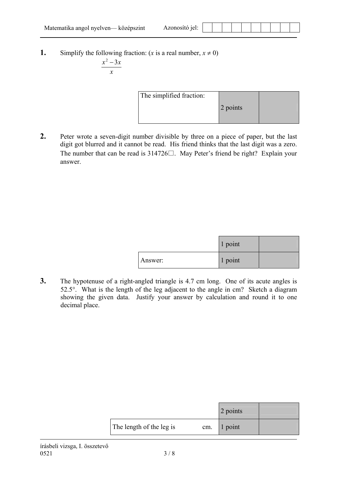

**1.** Simplify the following fraction:  $(x \text{ is a real number}, x \neq 0)$ 

$$
\frac{x^2-3x}{x}
$$

| The simplified fraction: |          |  |
|--------------------------|----------|--|
|                          | 2 points |  |
|                          |          |  |

**2.** Peter wrote a seven-digit number divisible by three on a piece of paper, but the last digit got blurred and it cannot be read. His friend thinks that the last digit was a zero. The number that can be read is 314726 . May Peter's friend be right? Explain your answer.

|         | 1 point |  |
|---------|---------|--|
| Answer: | 1 point |  |

**3.** The hypotenuse of a right-angled triangle is 4.7 cm long. One of its acute angles is 52.5°. What is the length of the leg adjacent to the angle in cm? Sketch a diagram showing the given data. Justify your answer by calculation and round it to one decimal place.

|                          |     | 2 points |  |
|--------------------------|-----|----------|--|
| The length of the leg is | cm. | 1 point  |  |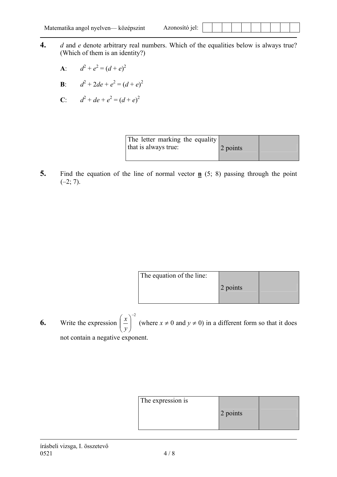- **4.** *d* and *e* denote arbitrary real numbers. Which of the equalities below is always true? (Which of them is an identity?)
	- **A**:  $d^2 + e^2 = (d + e)^2$
	- **B**:  $d^2 + 2de + e^2 = (d+e)^2$

C: 
$$
d^2 + de + e^2 = (d + e)^2
$$

| The letter marking the equality<br>that is always true: | 2 points |  |
|---------------------------------------------------------|----------|--|
|                                                         |          |  |

**5.** Find the equation of the line of normal vector **n** (5; 8) passing through the point  $(-2; 7)$ .

| The equation of the line: |          |  |
|---------------------------|----------|--|
|                           | 2 points |  |
|                           |          |  |

**6.** Write the expression −2  $\overline{\phantom{a}}$  $\bigg)$  $\backslash$  $\overline{\phantom{a}}$  $\setminus$ ſ *y x* (where  $x \neq 0$  and  $y \neq 0$ ) in a different form so that it does not contain a negative exponent.

| The expression is |          |  |
|-------------------|----------|--|
|                   | 2 points |  |
|                   |          |  |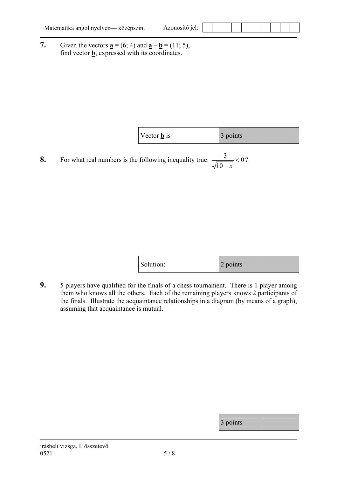| Matematika angol nyelven— középszint | Azonosító jel: |  |  |  |  |  |
|--------------------------------------|----------------|--|--|--|--|--|
|                                      |                |  |  |  |  |  |

**7.** Given the vectors  $\mathbf{a} = (6, 4)$  and  $\mathbf{a} - \mathbf{b} = (11, 5)$ , find vector **b**, expressed with its coordinates.

| Vector <b>b</b> is | 3 points |  |
|--------------------|----------|--|

**8.** For what real numbers is the following inequality true:  $\frac{-3}{\sqrt{2}} < 0$  $10$  $\frac{-3}{0-x}$ *x* ?

| Solution: | points |  |
|-----------|--------|--|
|-----------|--------|--|

**9.** 5 players have qualified for the finals of a chess tournament. There is 1 player among them who knows all the others. Each of the remaining players knows 2 participants of the finals. Illustrate the acquaintance relationships in a diagram (by means of a graph), assuming that acquaintance is mutual.

| 3 points |
|----------|
|          |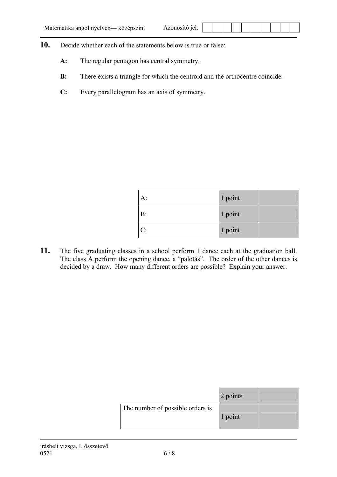#### **10.** Decide whether each of the statements below is true or false:

- **A:** The regular pentagon has central symmetry.
- **B:** There exists a triangle for which the centroid and the orthocentre coincide.
- **C:** Every parallelogram has an axis of symmetry.

| A: | 1 point |  |
|----|---------|--|
| В: | 1 point |  |
| Ċ. | 1 point |  |

**11.** The five graduating classes in a school perform 1 dance each at the graduation ball. The class A perform the opening dance, a "palotás". The order of the other dances is decided by a draw. How many different orders are possible? Explain your answer.

|                                  | 2 points |  |
|----------------------------------|----------|--|
| The number of possible orders is | point    |  |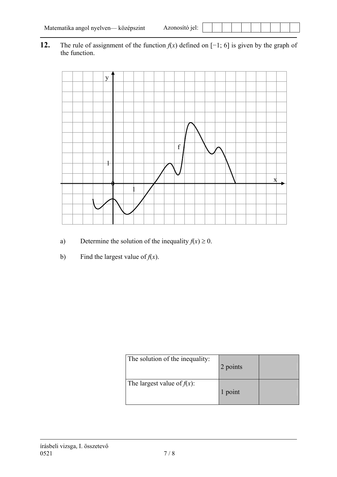**12.** The rule of assignment of the function *f*(*x*) defined on [−1; 6] is given by the graph of the function.



- a) Determine the solution of the inequality  $f(x) \ge 0$ .
- b) Find the largest value of  $f(x)$ .

| The solution of the inequality: | 2 points |  |
|---------------------------------|----------|--|
| The largest value of $f(x)$ :   | 1 point  |  |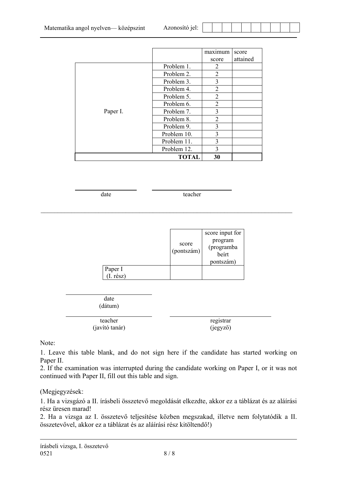|          |              | maximum        | score    |
|----------|--------------|----------------|----------|
|          |              | score          | attained |
|          | Problem 1.   | 2              |          |
|          | Problem 2.   | 2              |          |
|          | Problem 3.   | 3              |          |
|          | Problem 4.   | $\overline{2}$ |          |
|          | Problem 5.   | $\overline{2}$ |          |
|          | Problem 6.   | $\overline{2}$ |          |
| Paper I. | Problem 7.   | 3              |          |
|          | Problem 8.   | 2              |          |
|          | Problem 9.   | 3              |          |
|          | Problem 10.  | 3              |          |
|          | Problem 11.  | 3              |          |
|          | Problem 12.  | 3              |          |
|          | <b>TOTAL</b> | 30             |          |

date teacher



 $\mathcal{L}_\text{max}$  , and the contribution of the contribution of the contribution of the contribution of the contribution of the contribution of the contribution of the contribution of the contribution of the contribution of t

teacher

(javító tanár)

registrar (jegyző)

Note:

1. Leave this table blank, and do not sign here if the candidate has started working on Paper II.

2. If the examination was interrupted during the candidate working on Paper I, or it was not continued with Paper II, fill out this table and sign.

(Megjegyzések:

1. Ha a vizsgázó a II. írásbeli összetevő megoldását elkezdte, akkor ez a táblázat és az aláírási rész üresen marad!

2. Ha a vizsga az I. összetevő teljesítése közben megszakad, illetve nem folytatódik a II. összetevővel, akkor ez a táblázat és az aláírási rész kitöltendő!)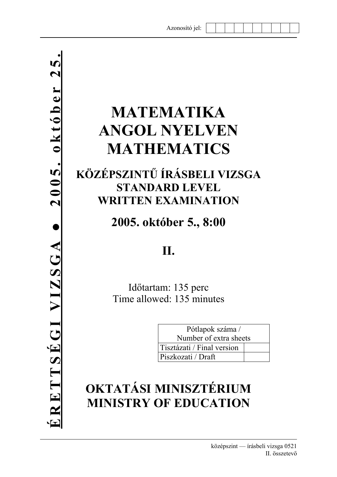| Azonosító jel: |  |  |  |  |  |
|----------------|--|--|--|--|--|
|                |  |  |  |  |  |

# **MATEMATIKA ANGOL NYELVEN MATHEMATICS**

## **KÖZÉPSZINTŰ ÍRÁSBELI VIZSGA STANDARD LEVEL WRITTEN EXAMINATION**

**2005. október 5., 8:00** 

## **II.**

Időtartam: 135 perc Time allowed: 135 minutes

| Pótlapok száma /           |  |  |  |  |  |  |  |
|----------------------------|--|--|--|--|--|--|--|
| Number of extra sheets     |  |  |  |  |  |  |  |
| Tisztázati / Final version |  |  |  |  |  |  |  |
| Piszkozati / Draft         |  |  |  |  |  |  |  |

## **OKTATÁSI MINISZTÉRIUM MINISTRY OF EDUCATION**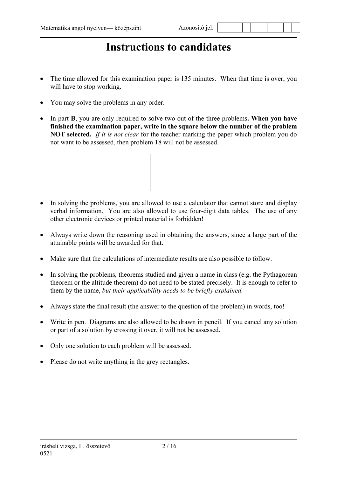### **Instructions to candidates**

- The time allowed for this examination paper is 135 minutes. When that time is over, you will have to stop working.
- You may solve the problems in any order.
- In part **B**, you are only required to solve two out of the three problems**. When you have finished the examination paper, write in the square below the number of the problem NOT selected.** *If it is not clear* for the teacher marking the paper which problem you do not want to be assessed, then problem 18 will not be assessed.



- In solving the problems, you are allowed to use a calculator that cannot store and display verbal information. You are also allowed to use four-digit data tables. The use of any other electronic devices or printed material is forbidden!
- Always write down the reasoning used in obtaining the answers, since a large part of the attainable points will be awarded for that.
- Make sure that the calculations of intermediate results are also possible to follow.
- In solving the problems, theorems studied and given a name in class (e.g. the Pythagorean theorem or the altitude theorem) do not need to be stated precisely. It is enough to refer to them by the name, *but their applicability needs to be briefly explained.*
- Always state the final result (the answer to the question of the problem) in words, too!
- Write in pen. Diagrams are also allowed to be drawn in pencil. If you cancel any solution or part of a solution by crossing it over, it will not be assessed.
- Only one solution to each problem will be assessed.
- Please do not write anything in the grey rectangles.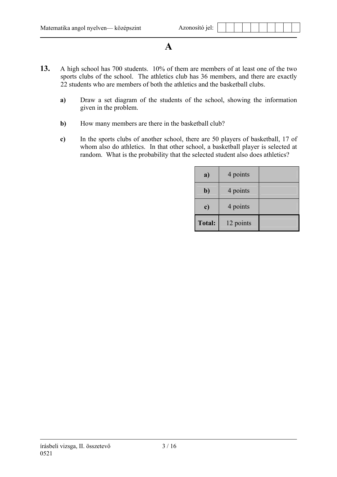#### **A**

- **13.** A high school has 700 students. 10% of them are members of at least one of the two sports clubs of the school. The athletics club has 36 members, and there are exactly 22 students who are members of both the athletics and the basketball clubs.
	- **a)** Draw a set diagram of the students of the school, showing the information given in the problem.
	- **b**) How many members are there in the basketball club?
	- **c)** In the sports clubs of another school, there are 50 players of basketball, 17 of whom also do athletics. In that other school, a basketball player is selected at random. What is the probability that the selected student also does athletics?

| a)            | 4 points  |  |
|---------------|-----------|--|
| $\mathbf{b}$  | 4 points  |  |
| c)            | 4 points  |  |
| <b>Total:</b> | 12 points |  |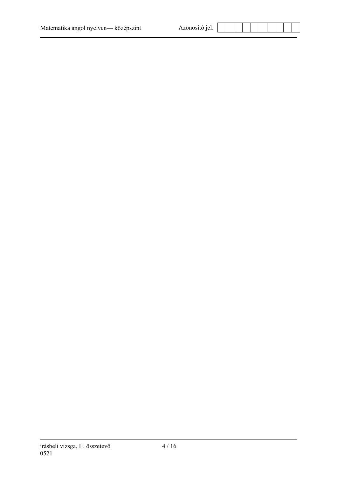| Matematika angol nyelven— középszint | Azonosító jel: |  |  |  |  |  |
|--------------------------------------|----------------|--|--|--|--|--|
|                                      |                |  |  |  |  |  |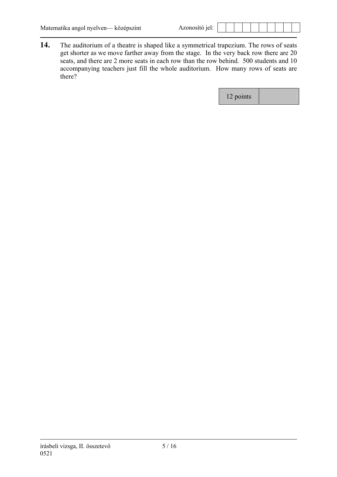12 points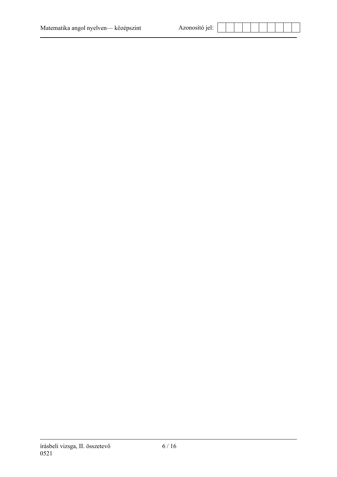| Matematika angol nyelven— középszint | Azonosító jel: |  |  |  |  |  |
|--------------------------------------|----------------|--|--|--|--|--|
|                                      |                |  |  |  |  |  |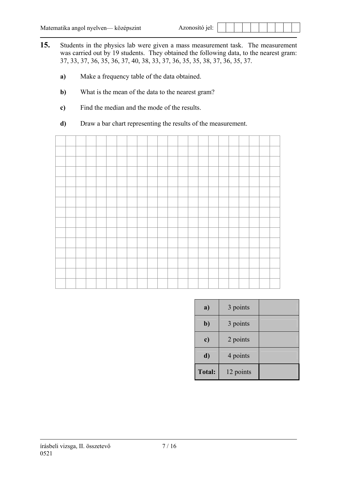- **15.** Students in the physics lab were given a mass measurement task. The measurement was carried out by 19 students. They obtained the following data, to the nearest gram: 37, 33, 37, 36, 35, 36, 37, 40, 38, 33, 37, 36, 35, 35, 38, 37, 36, 35, 37.
	- **a)** Make a frequency table of the data obtained.
	- **b)** What is the mean of the data to the nearest gram?
	- **c)** Find the median and the mode of the results.
	- **d)** Draw a bar chart representing the results of the measurement.

| a)            | 3 points  |  |
|---------------|-----------|--|
| b)            | 3 points  |  |
| c)            | 2 points  |  |
| d)            | 4 points  |  |
| <b>Total:</b> | 12 points |  |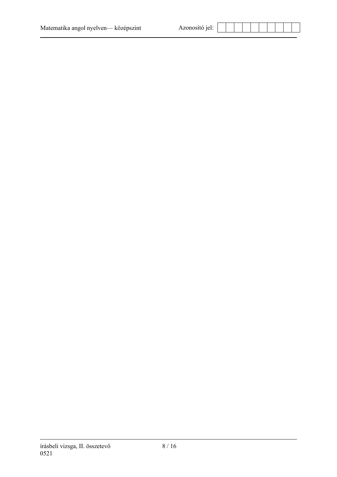| Matematika angol nyelven— középszint | Azonosító jel: |  |  |  |  |  |
|--------------------------------------|----------------|--|--|--|--|--|
|                                      |                |  |  |  |  |  |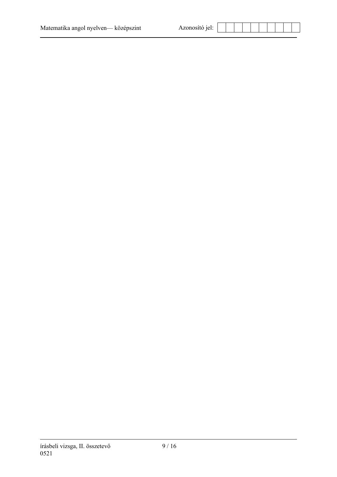| Matematika angol nyelven— középszint | Azonosító jel: |  |  |  |  |  |
|--------------------------------------|----------------|--|--|--|--|--|
|                                      |                |  |  |  |  |  |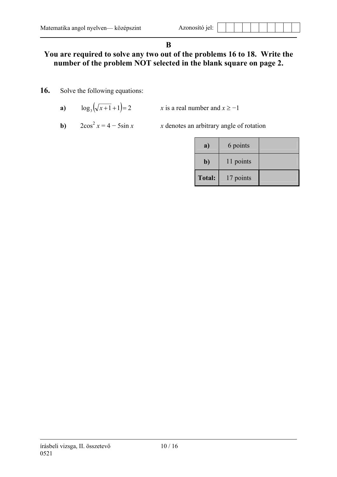**You are required to solve any two out of the problems 16 to 18. Write the number of the problem NOT selected in the blank square on page 2.** 

- **16.** Solve the following equations:
	- **a)**  $\log_3(\sqrt{x+1}+1)=2$  *x* is a real number and  $x \ge -1$

- **b)**  $2\cos^2 x = 4 5\sin x$
- *x* denotes an arbitrary angle of rotation

| a)            | 6 points  |  |
|---------------|-----------|--|
| $\mathbf{b}$  | 11 points |  |
| <b>Total:</b> | 17 points |  |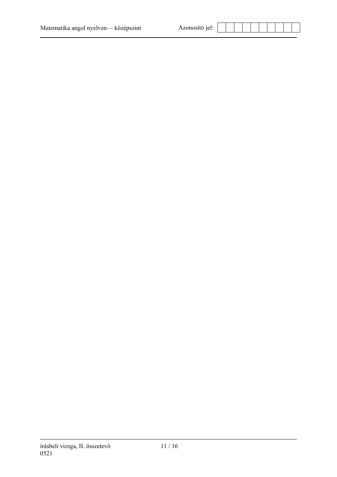| Matematika angol nyelven— középszint | Azonosító jel: |  |  |  |  |  |
|--------------------------------------|----------------|--|--|--|--|--|
|                                      |                |  |  |  |  |  |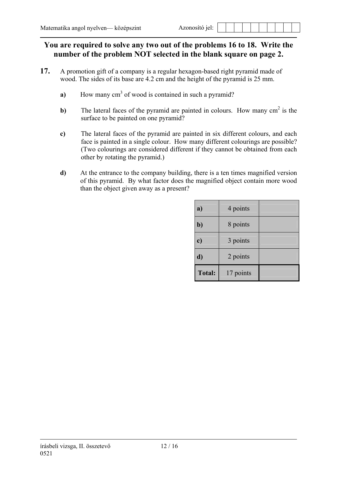#### **You are required to solve any two out of the problems 16 to 18. Write the number of the problem NOT selected in the blank square on page 2.**

- **17.** A promotion gift of a company is a regular hexagon-based right pyramid made of wood. The sides of its base are 4.2 cm and the height of the pyramid is 25 mm.
	- a) How many cm<sup>3</sup> of wood is contained in such a pyramid?
	- **b)** The lateral faces of the pyramid are painted in colours. How many  $\text{cm}^2$  is the surface to be painted on one pyramid?
	- **c)** The lateral faces of the pyramid are painted in six different colours, and each face is painted in a single colour. How many different colourings are possible? (Two colourings are considered different if they cannot be obtained from each other by rotating the pyramid.)
	- **d)** At the entrance to the company building, there is a ten times magnified version of this pyramid. By what factor does the magnified object contain more wood than the object given away as a present?

| a)            | 4 points  |  |
|---------------|-----------|--|
| $\mathbf{b}$  | 8 points  |  |
| c)            | 3 points  |  |
| d)            | 2 points  |  |
| <b>Total:</b> | 17 points |  |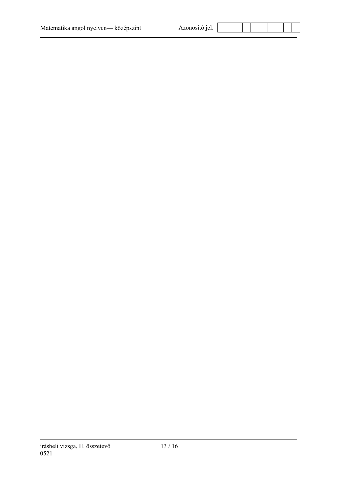| Matematika angol nyelven— középszint | Azonosító jel: |  |  |  |  |  |
|--------------------------------------|----------------|--|--|--|--|--|
|                                      |                |  |  |  |  |  |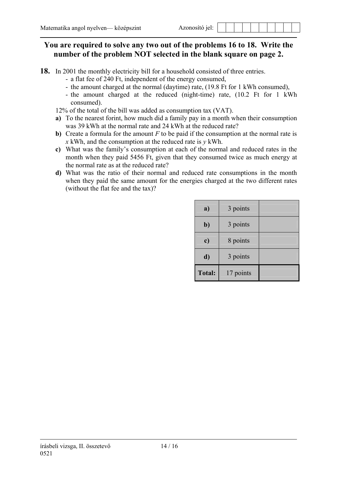#### **You are required to solve any two out of the problems 16 to 18. Write the number of the problem NOT selected in the blank square on page 2.**

- **18.** In 2001 the monthly electricity bill for a household consisted of three entries.
	- a flat fee of 240 Ft, independent of the energy consumed,
	- the amount charged at the normal (daytime) rate, (19.8 Ft for 1 kWh consumed),
	- the amount charged at the reduced (night-time) rate, (10.2 Ft for 1 kWh consumed).

12% of the total of the bill was added as consumption tax (VAT).

- **a)** To the nearest forint, how much did a family pay in a month when their consumption was 39 kWh at the normal rate and 24 kWh at the reduced rate?
- **b)** Create a formula for the amount *F* to be paid if the consumption at the normal rate is *x* kWh, and the consumption at the reduced rate is *y* kWh.
- **c)** What was the family's consumption at each of the normal and reduced rates in the month when they paid 5456 Ft, given that they consumed twice as much energy at the normal rate as at the reduced rate?
- **d)** What was the ratio of their normal and reduced rate consumptions in the month when they paid the same amount for the energies charged at the two different rates (without the flat fee and the tax)?

| a)            | 3 points  |  |
|---------------|-----------|--|
| $\mathbf{b}$  | 3 points  |  |
| c)            | 8 points  |  |
| d)            | 3 points  |  |
| <b>Total:</b> | 17 points |  |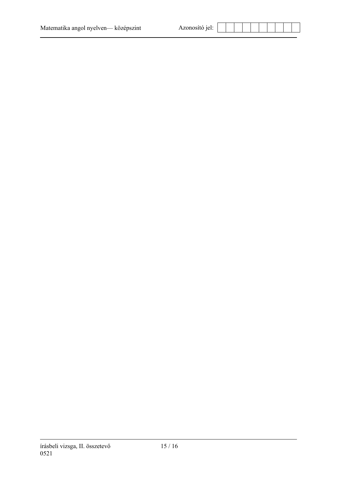| Matematika angol nyelven— középszint | Azonosító jel: |  |  |  |  |  |
|--------------------------------------|----------------|--|--|--|--|--|
|                                      |                |  |  |  |  |  |